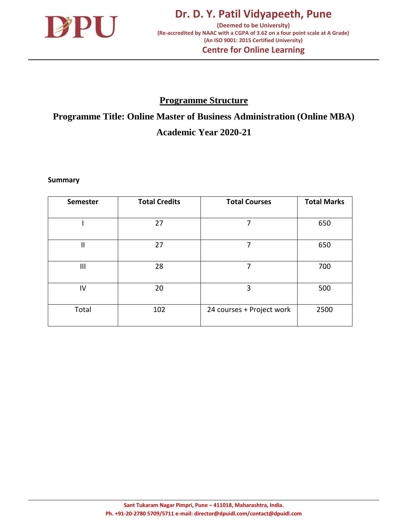

## **Programme Structure**

**Programme Title: Online Master of Business Administration (Online MBA) Academic Year 2020-21**

**Summary**

| <b>Semester</b> | <b>Total Credits</b> | <b>Total Courses</b>      | <b>Total Marks</b> |
|-----------------|----------------------|---------------------------|--------------------|
|                 |                      |                           |                    |
|                 | 27                   | 7                         | 650                |
|                 |                      |                           |                    |
| $\mathsf{II}$   | 27                   | 7                         | 650                |
|                 |                      |                           |                    |
| $\mathbf{III}$  | 28                   | 7                         | 700                |
|                 |                      |                           |                    |
| IV              | 20                   | 3                         | 500                |
|                 |                      |                           |                    |
| Total           | 102                  | 24 courses + Project work | 2500               |
|                 |                      |                           |                    |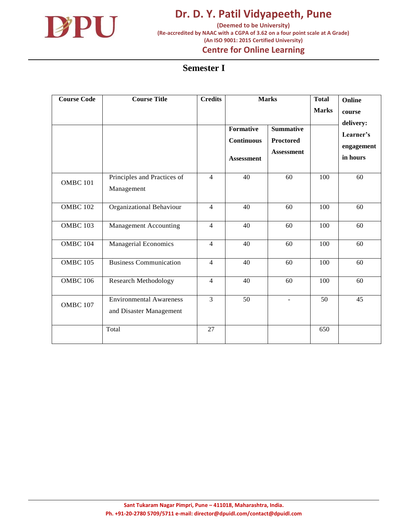

**(Deemed to be University) (Re-accredited by NAAC with a CGPA of 3.62 on a four point scale at A Grade) (An ISO 9001: 2015 Certified University)**

## **Centre for Online Learning**

#### **Semester I**

| <b>Course Code</b>  | <b>Course Title</b>                                       | <b>Credits</b> |                                                            | <b>Marks</b>                                              | <b>Total</b><br><b>Marks</b> | Online<br>course<br>delivery:       |
|---------------------|-----------------------------------------------------------|----------------|------------------------------------------------------------|-----------------------------------------------------------|------------------------------|-------------------------------------|
|                     |                                                           |                | <b>Formative</b><br><b>Continuous</b><br><b>Assessment</b> | <b>Summative</b><br><b>Proctored</b><br><b>Assessment</b> |                              | Learner's<br>engagement<br>in hours |
| OMBC <sub>101</sub> | Principles and Practices of<br>Management                 | $\overline{4}$ | 40                                                         | 60                                                        | 100                          | 60                                  |
| <b>OMBC 102</b>     | Organizational Behaviour                                  | $\overline{4}$ | 40                                                         | 60                                                        | 100                          | 60                                  |
| <b>OMBC 103</b>     | <b>Management Accounting</b>                              | $\overline{4}$ | 40                                                         | 60                                                        | 100                          | 60                                  |
| OMBC 104            | Managerial Economics                                      | $\overline{4}$ | 40                                                         | 60                                                        | 100                          | 60                                  |
| <b>OMBC 105</b>     | <b>Business Communication</b>                             | $\overline{4}$ | 40                                                         | 60                                                        | 100                          | 60                                  |
| <b>OMBC 106</b>     | Research Methodology                                      | $\overline{4}$ | 40                                                         | 60                                                        | 100                          | 60                                  |
| OMBC <sub>107</sub> | <b>Environmental Awareness</b><br>and Disaster Management | 3              | 50                                                         |                                                           | 50                           | 45                                  |
|                     | Total                                                     | 27             |                                                            |                                                           | 650                          |                                     |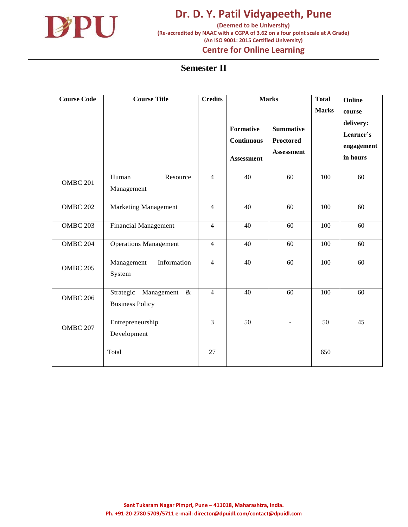

**(Deemed to be University) (Re-accredited by NAAC with a CGPA of 3.62 on a four point scale at A Grade) (An ISO 9001: 2015 Certified University) Centre for Online Learning**

#### **Semester II**

| <b>Course Code</b> | <b>Course Title</b>                                       | <b>Credits</b> | <b>Formative</b><br><b>Continuous</b><br><b>Assessment</b> | <b>Marks</b><br><b>Summative</b><br><b>Proctored</b><br><b>Assessment</b> | <b>Total</b><br><b>Marks</b> | Online<br>course<br>delivery:<br>Learner's<br>engagement<br>in hours |
|--------------------|-----------------------------------------------------------|----------------|------------------------------------------------------------|---------------------------------------------------------------------------|------------------------------|----------------------------------------------------------------------|
| <b>OMBC 201</b>    | Resource<br>Human<br>Management                           | $\overline{4}$ | 40                                                         | 60                                                                        | 100                          | 60                                                                   |
| <b>OMBC 202</b>    | <b>Marketing Management</b>                               | $\overline{4}$ | 40                                                         | 60                                                                        | 100                          | 60                                                                   |
| <b>OMBC 203</b>    | Financial Management                                      | $\overline{4}$ | 40                                                         | 60                                                                        | 100                          | 60                                                                   |
| <b>OMBC 204</b>    | <b>Operations Management</b>                              | $\overline{4}$ | 40                                                         | 60                                                                        | 100                          | 60                                                                   |
| <b>OMBC 205</b>    | Information<br>Management<br>System                       | $\overline{4}$ | 40                                                         | 60                                                                        | 100                          | 60                                                                   |
| <b>OMBC 206</b>    | Strategic<br>Management<br>$\&$<br><b>Business Policy</b> | 4              | 40                                                         | 60                                                                        | 100                          | 60                                                                   |
| <b>OMBC 207</b>    | Entrepreneurship<br>Development                           | 3              | 50                                                         | $\blacksquare$                                                            | 50                           | 45                                                                   |
|                    | Total                                                     | 27             |                                                            |                                                                           | 650                          |                                                                      |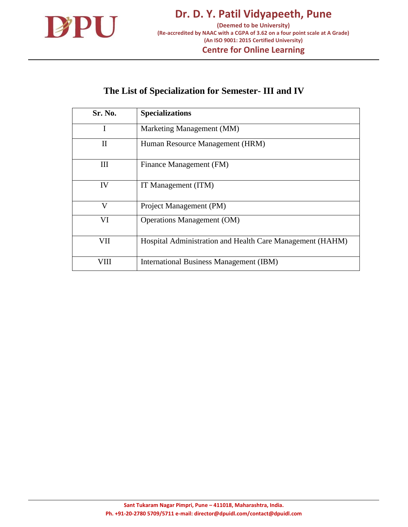

# **The List of Specialization for Semester- III and IV**

| Sr. No. | <b>Specializations</b>                                    |
|---------|-----------------------------------------------------------|
| I       | Marketing Management (MM)                                 |
| П       | Human Resource Management (HRM)                           |
| Ш       | Finance Management (FM)                                   |
| IV      | IT Management (ITM)                                       |
| V       | Project Management (PM)                                   |
| VI      | <b>Operations Management (OM)</b>                         |
| VII     | Hospital Administration and Health Care Management (HAHM) |
| VIII    | International Business Management (IBM)                   |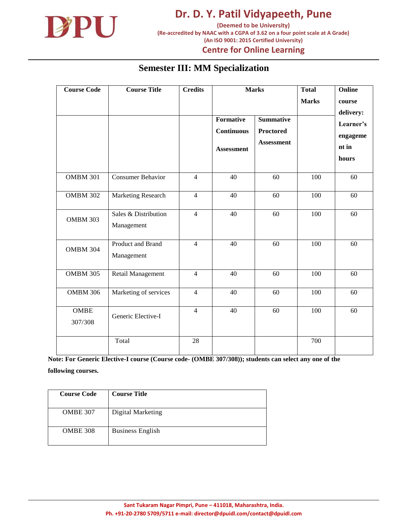

**(Deemed to be University) (Re-accredited by NAAC with a CGPA of 3.62 on a four point scale at A Grade) (An ISO 9001: 2015 Certified University)**

**Centre for Online Learning**

#### **Semester III: MM Specialization**

| <b>Course Code</b>     | <b>Course Title</b>                | <b>Credits</b> | <b>Formative</b><br><b>Continuous</b><br><b>Assessment</b> | <b>Marks</b><br><b>Summative</b><br><b>Proctored</b><br><b>Assessment</b> | <b>Total</b><br><b>Marks</b> | Online<br>course<br>delivery:<br>Learner's<br>engageme<br>nt in<br>hours |
|------------------------|------------------------------------|----------------|------------------------------------------------------------|---------------------------------------------------------------------------|------------------------------|--------------------------------------------------------------------------|
| <b>OMBM 301</b>        | <b>Consumer Behavior</b>           | $\overline{4}$ | 40                                                         | 60                                                                        | 100                          | 60                                                                       |
| <b>OMBM 302</b>        | Marketing Research                 | $\overline{4}$ | 40                                                         | 60                                                                        | 100                          | 60                                                                       |
| <b>OMBM 303</b>        | Sales & Distribution<br>Management | $\overline{4}$ | 40                                                         | 60                                                                        | 100                          | 60                                                                       |
| <b>OMBM 304</b>        | Product and Brand<br>Management    | $\overline{4}$ | 40                                                         | 60                                                                        | 100                          | 60                                                                       |
| <b>OMBM 305</b>        | Retail Management                  | $\overline{4}$ | 40                                                         | 60                                                                        | 100                          | 60                                                                       |
| <b>OMBM 306</b>        | Marketing of services              | $\overline{4}$ | 40                                                         | 60                                                                        | 100                          | 60                                                                       |
| <b>OMBE</b><br>307/308 | Generic Elective-I                 | $\overline{4}$ | 40                                                         | 60                                                                        | 100                          | 60                                                                       |
|                        | Total                              | 28             |                                                            |                                                                           | 700                          |                                                                          |

| <b>Course Code</b> | <b>Course Title</b>     |
|--------------------|-------------------------|
| <b>OMBE 307</b>    | Digital Marketing       |
| OMBE 308           | <b>Business English</b> |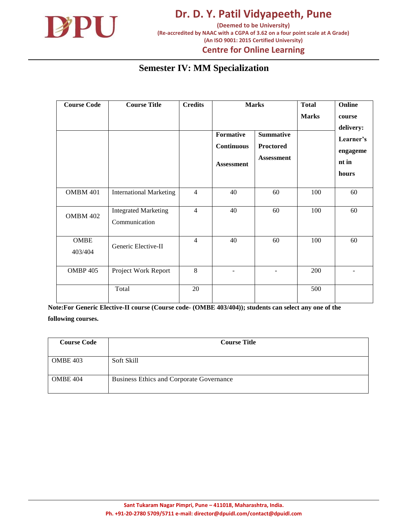

**Centre for Online Learning**

## **Semester IV: MM Specialization**

| <b>Course Code</b>     | <b>Course Title</b>                          | <b>Credits</b>           |                                                            | <b>Marks</b>                                       | <b>Total</b> | Online                                  |
|------------------------|----------------------------------------------|--------------------------|------------------------------------------------------------|----------------------------------------------------|--------------|-----------------------------------------|
|                        |                                              |                          |                                                            |                                                    | <b>Marks</b> | course<br>delivery:                     |
|                        |                                              |                          | <b>Formative</b><br><b>Continuous</b><br><b>Assessment</b> | <b>Summative</b><br>Proctored<br><b>Assessment</b> |              | Learner's<br>engageme<br>nt in<br>hours |
| <b>OMBM 401</b>        | <b>International Marketing</b>               | $\overline{\mathcal{L}}$ | 40                                                         | 60                                                 | 100          | 60                                      |
| <b>OMBM 402</b>        | <b>Integrated Marketing</b><br>Communication | $\overline{4}$           | 40                                                         | 60                                                 | 100          | 60                                      |
| <b>OMBE</b><br>403/404 | Generic Elective-II                          | $\overline{4}$           | 40                                                         | 60                                                 | 100          | 60                                      |
| <b>OMBP 405</b>        | Project Work Report                          | 8                        |                                                            |                                                    | 200          |                                         |
|                        | Total                                        | 20                       |                                                            |                                                    | 500          |                                         |

| <b>Course Code</b> | <b>Course Title</b>                      |
|--------------------|------------------------------------------|
|                    |                                          |
| <b>OMBE 403</b>    | Soft Skill                               |
|                    |                                          |
| <b>OMBE 404</b>    | Business Ethics and Corporate Governance |
|                    |                                          |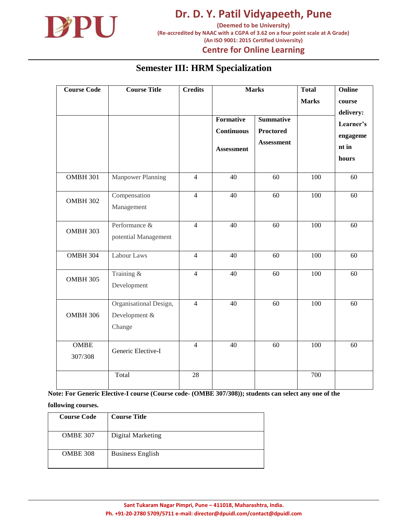

**(Deemed to be University) (Re-accredited by NAAC with a CGPA of 3.62 on a four point scale at A Grade) (An ISO 9001: 2015 Certified University)**

**Centre for Online Learning**

#### **Semester III: HRM Specialization**

| <b>Course Code</b>     | <b>Course Title</b>                               | <b>Credits</b> | Formative<br><b>Continuous</b><br><b>Assessment</b> | <b>Marks</b><br><b>Summative</b><br><b>Proctored</b><br><b>Assessment</b> | <b>Total</b><br><b>Marks</b> | Online<br>course<br>delivery:<br>Learner's<br>engageme<br>nt in<br>hours |
|------------------------|---------------------------------------------------|----------------|-----------------------------------------------------|---------------------------------------------------------------------------|------------------------------|--------------------------------------------------------------------------|
| <b>OMBH 301</b>        | <b>Manpower Planning</b>                          | $\overline{4}$ | 40                                                  | 60                                                                        | $\overline{100}$             | 60                                                                       |
| <b>OMBH 302</b>        | Compensation<br>Management                        | $\overline{4}$ | $\overline{40}$                                     | 60                                                                        | $\overline{100}$             | 60                                                                       |
| <b>OMBH 303</b>        | Performance &<br>potential Management             | $\overline{4}$ | 40                                                  | 60                                                                        | 100                          | 60                                                                       |
| <b>OMBH 304</b>        | Labour Laws                                       | $\overline{4}$ | 40                                                  | 60                                                                        | 100                          | 60                                                                       |
| <b>OMBH 305</b>        | Training &<br>Development                         | $\overline{4}$ | 40                                                  | 60                                                                        | 100                          | 60                                                                       |
| <b>OMBH 306</b>        | Organisational Design,<br>Development &<br>Change | $\overline{4}$ | 40                                                  | 60                                                                        | 100                          | 60                                                                       |
| <b>OMBE</b><br>307/308 | Generic Elective-I                                | $\overline{4}$ | 40                                                  | 60                                                                        | $\overline{100}$             | 60                                                                       |
|                        | Total                                             | 28             |                                                     |                                                                           | 700                          |                                                                          |

**Note: For Generic Elective-I course (Course code- (OMBE 307/308)); students can select any one of the** 

| <b>Course Code</b> | <b>Course Title</b>     |
|--------------------|-------------------------|
| <b>OMBE 307</b>    | Digital Marketing       |
| OMBE 308           | <b>Business English</b> |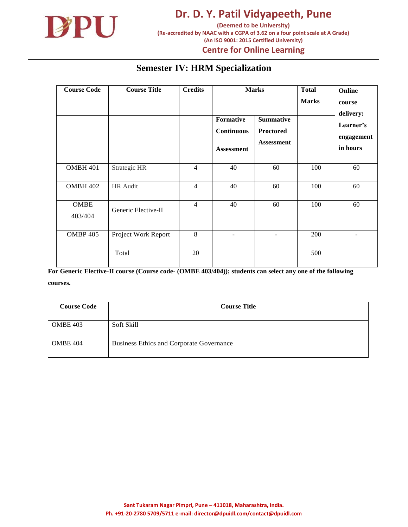

**(Deemed to be University) (Re-accredited by NAAC with a CGPA of 3.62 on a four point scale at A Grade) (An ISO 9001: 2015 Certified University)**

#### **Centre for Online Learning**

#### **Semester IV: HRM Specialization**

| <b>Course Code</b>     | <b>Course Title</b> | <b>Credits</b> | Formative<br><b>Continuous</b><br><b>Assessment</b> | <b>Marks</b><br><b>Summative</b><br>Proctored<br><b>Assessment</b> | <b>Total</b><br><b>Marks</b> | Online<br>course<br>delivery:<br>Learner's<br>engagement<br>in hours |
|------------------------|---------------------|----------------|-----------------------------------------------------|--------------------------------------------------------------------|------------------------------|----------------------------------------------------------------------|
| OMBH 401               | Strategic HR        | $\overline{4}$ | 40                                                  | 60                                                                 | 100                          | 60                                                                   |
| <b>OMBH 402</b>        | HR Audit            | $\overline{4}$ | 40                                                  | 60                                                                 | 100                          | 60                                                                   |
| <b>OMBE</b><br>403/404 | Generic Elective-II | $\overline{4}$ | 40                                                  | 60                                                                 | 100                          | 60                                                                   |
| <b>OMBP 405</b>        | Project Work Report | 8              |                                                     |                                                                    | 200                          |                                                                      |
|                        | Total               | 20             |                                                     |                                                                    | 500                          |                                                                      |

| <b>Course Code</b> | <b>Course Title</b>                      |
|--------------------|------------------------------------------|
|                    |                                          |
| <b>OMBE 403</b>    | Soft Skill                               |
|                    |                                          |
| <b>OMBE 404</b>    | Business Ethics and Corporate Governance |
|                    |                                          |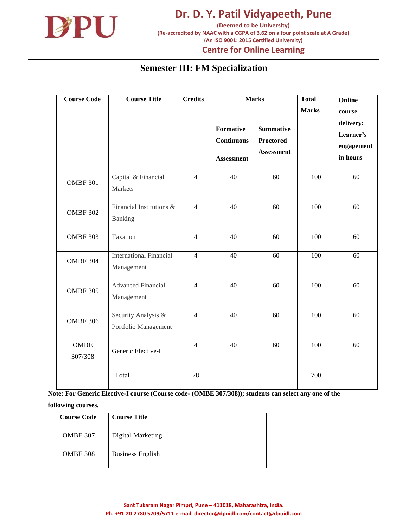

## **Centre for Online Learning**

## **Semester III: FM Specialization**

| <b>Course Code</b>     | <b>Course Title</b>                          | <b>Credits</b> | <b>Marks</b>                                               |                                                           | <b>Total</b><br><b>Marks</b> | Online<br>course<br>delivery:       |
|------------------------|----------------------------------------------|----------------|------------------------------------------------------------|-----------------------------------------------------------|------------------------------|-------------------------------------|
|                        |                                              |                | <b>Formative</b><br><b>Continuous</b><br><b>Assessment</b> | <b>Summative</b><br><b>Proctored</b><br><b>Assessment</b> |                              | Learner's<br>engagement<br>in hours |
| <b>OMBF 301</b>        | Capital & Financial<br><b>Markets</b>        | $\overline{4}$ | 40                                                         | 60                                                        | 100                          | 60                                  |
| <b>OMBF 302</b>        | Financial Institutions &<br>Banking          | $\overline{4}$ | 40                                                         | 60                                                        | 100                          | 60                                  |
| <b>OMBF 303</b>        | Taxation                                     | $\overline{4}$ | 40                                                         | 60                                                        | 100                          | 60                                  |
| OMBF 304               | <b>International Financial</b><br>Management | $\overline{4}$ | 40                                                         | 60                                                        | 100                          | 60                                  |
| <b>OMBF 305</b>        | <b>Advanced Financial</b><br>Management      | $\overline{4}$ | 40                                                         | 60                                                        | 100                          | 60                                  |
| <b>OMBF 306</b>        | Security Analysis &<br>Portfolio Management  | $\overline{4}$ | 40                                                         | 60                                                        | 100                          | 60                                  |
| <b>OMBE</b><br>307/308 | Generic Elective-I                           | $\overline{4}$ | 40                                                         | 60                                                        | 100                          | 60                                  |
|                        | Total                                        | 28             |                                                            |                                                           | 700                          |                                     |

**Note: For Generic Elective-I course (Course code- (OMBE 307/308)); students can select any one of the** 

| <b>Course Code</b> | <b>Course Title</b>     |
|--------------------|-------------------------|
| <b>OMBE 307</b>    | Digital Marketing       |
| <b>OMBE 308</b>    | <b>Business English</b> |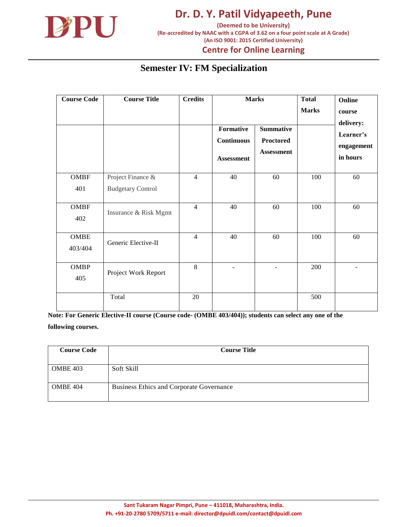

## **Centre for Online Learning**

## **Semester IV: FM Specialization**

| <b>Course Code</b>     | <b>Course Title</b>      | <b>Credits</b> |                                                     | <b>Marks</b>                                              | <b>Total</b><br><b>Marks</b> | Online<br>course                                 |
|------------------------|--------------------------|----------------|-----------------------------------------------------|-----------------------------------------------------------|------------------------------|--------------------------------------------------|
|                        |                          |                | Formative<br><b>Continuous</b><br><b>Assessment</b> | <b>Summative</b><br><b>Proctored</b><br><b>Assessment</b> |                              | delivery:<br>Learner's<br>engagement<br>in hours |
| <b>OMBF</b>            | Project Finance &        | $\overline{4}$ | 40                                                  | 60                                                        | 100                          | 60                                               |
| 401                    | <b>Budgetary Control</b> |                |                                                     |                                                           |                              |                                                  |
| <b>OMBF</b><br>402     | Insurance & Risk Mgmt    | $\overline{4}$ | 40                                                  | 60                                                        | 100                          | 60                                               |
| <b>OMBE</b><br>403/404 | Generic Elective-II      | $\overline{4}$ | 40                                                  | 60                                                        | 100                          | 60                                               |
| <b>OMBP</b><br>405     | Project Work Report      | 8              |                                                     | ÷                                                         | 200                          |                                                  |
|                        | Total                    | 20             |                                                     |                                                           | 500                          |                                                  |

| <b>Course Code</b> | <b>Course Title</b>                      |  |  |
|--------------------|------------------------------------------|--|--|
|                    |                                          |  |  |
| <b>OMBE 403</b>    | Soft Skill                               |  |  |
|                    |                                          |  |  |
| OMBE 404           | Business Ethics and Corporate Governance |  |  |
|                    |                                          |  |  |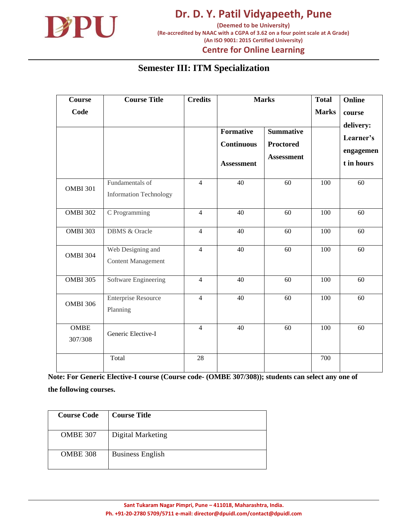

**Dr. D. Y. Patil Vidyapeeth, Pune (Deemed to be University) (Re-accredited by NAAC with a CGPA of 3.62 on a four point scale at A Grade)**

#### **(An ISO 9001: 2015 Certified University) Centre for Online Learning**

#### **Semester III: ITM Specialization**

| <b>Course</b>          | <b>Course Title</b>                              | <b>Credits</b>  |                                                            | <b>Marks</b>                                              | <b>Total</b> | Online                               |
|------------------------|--------------------------------------------------|-----------------|------------------------------------------------------------|-----------------------------------------------------------|--------------|--------------------------------------|
| Code                   |                                                  |                 |                                                            |                                                           | <b>Marks</b> | course<br>delivery:                  |
|                        |                                                  |                 | <b>Formative</b><br><b>Continuous</b><br><b>Assessment</b> | <b>Summative</b><br><b>Proctored</b><br><b>Assessment</b> |              | Learner's<br>engagemen<br>t in hours |
| <b>OMBI 301</b>        | Fundamentals of<br><b>Information Technology</b> | $\overline{4}$  | 40                                                         | 60                                                        | 100          | 60                                   |
| <b>OMBI 302</b>        | C Programming                                    | $\overline{4}$  | 40                                                         | 60                                                        | 100          | 60                                   |
| <b>OMBI 303</b>        | <b>DBMS &amp; Oracle</b>                         | $\overline{4}$  | 40                                                         | 60                                                        | 100          | 60                                   |
| <b>OMBI 304</b>        | Web Designing and<br><b>Content Management</b>   | $\overline{4}$  | 40                                                         | 60                                                        | 100          | 60                                   |
| <b>OMBI 305</b>        | Software Engineering                             | $\overline{4}$  | 40                                                         | 60                                                        | 100          | 60                                   |
| <b>OMBI 306</b>        | <b>Enterprise Resource</b><br>Planning           | $\overline{4}$  | 40                                                         | 60                                                        | 100          | $\overline{60}$                      |
| <b>OMBE</b><br>307/308 | Generic Elective-I                               | $\overline{4}$  | 40                                                         | 60                                                        | 100          | 60                                   |
|                        | Total                                            | $\overline{28}$ |                                                            |                                                           | 700          |                                      |

| <b>Course Code</b> | <b>Course Title</b>     |
|--------------------|-------------------------|
| <b>OMBE 307</b>    | Digital Marketing       |
| <b>OMBE 308</b>    | <b>Business English</b> |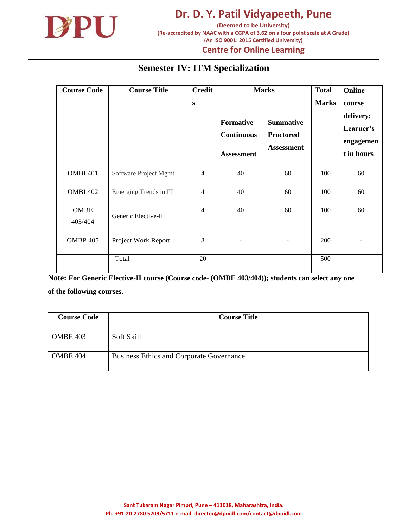

**(Deemed to be University) (Re-accredited by NAAC with a CGPA of 3.62 on a four point scale at A Grade) (An ISO 9001: 2015 Certified University)**

#### **Centre for Online Learning**

## **Semester IV: ITM Specialization**

| <b>Course Code</b>     | <b>Course Title</b>   | <b>Credit</b><br>S |                                                            | <b>Marks</b>                                              |     | Online<br>course<br>delivery:        |
|------------------------|-----------------------|--------------------|------------------------------------------------------------|-----------------------------------------------------------|-----|--------------------------------------|
|                        |                       |                    | <b>Formative</b><br><b>Continuous</b><br><b>Assessment</b> | <b>Summative</b><br><b>Proctored</b><br><b>Assessment</b> |     | Learner's<br>engagemen<br>t in hours |
| OMBI 401               | Software Project Mgmt | $\overline{4}$     | 40                                                         | 60                                                        | 100 | 60                                   |
| <b>OMBI 402</b>        | Emerging Trends in IT | $\overline{4}$     | 40                                                         | 60                                                        | 100 | 60                                   |
| <b>OMBE</b><br>403/404 | Generic Elective-II   | $\overline{4}$     | 40                                                         | 60                                                        | 100 | 60                                   |
| <b>OMBP 405</b>        | Project Work Report   | 8                  | $\overline{\phantom{a}}$                                   |                                                           | 200 |                                      |
|                        | Total                 | 20                 |                                                            |                                                           | 500 |                                      |

| <b>Course Code</b> | <b>Course Title</b>                             |  |  |
|--------------------|-------------------------------------------------|--|--|
|                    |                                                 |  |  |
| <b>OMBE 403</b>    | Soft Skill                                      |  |  |
|                    |                                                 |  |  |
| <b>OMBE 404</b>    | <b>Business Ethics and Corporate Governance</b> |  |  |
|                    |                                                 |  |  |
|                    |                                                 |  |  |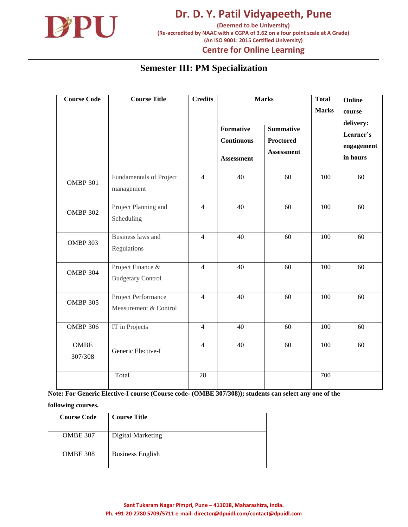

**(Re-accredited by NAAC with a CGPA of 3.62 on a four point scale at A Grade) (An ISO 9001: 2015 Certified University)**

**Centre for Online Learning**

## **Semester III: PM Specialization**

| <b>Course Code</b>     | <b>Course Title</b>                           | <b>Credits</b> | Formative<br><b>Continuous</b><br><b>Assessment</b> | <b>Marks</b><br><b>Summative</b><br><b>Proctored</b><br><b>Assessment</b> | <b>Total</b><br><b>Marks</b> | Online<br>course<br>delivery:<br>Learner's<br>engagement<br>in hours |
|------------------------|-----------------------------------------------|----------------|-----------------------------------------------------|---------------------------------------------------------------------------|------------------------------|----------------------------------------------------------------------|
| <b>OMBP 301</b>        | Fundamentals of Project<br>management         | $\overline{4}$ | 40                                                  | 60                                                                        | 100                          | 60                                                                   |
| <b>OMBP 302</b>        | Project Planning and<br>Scheduling            | $\overline{4}$ | 40                                                  | 60                                                                        | 100                          | 60                                                                   |
| <b>OMBP 303</b>        | Business laws and<br>Regulations              | $\overline{4}$ | 40                                                  | 60                                                                        | 100                          | 60                                                                   |
| <b>OMBP 304</b>        | Project Finance &<br><b>Budgetary Control</b> | $\overline{4}$ | 40                                                  | 60                                                                        | 100                          | 60                                                                   |
| <b>OMBP 305</b>        | Project Performance<br>Measurement & Control  | $\overline{4}$ | 40                                                  | 60                                                                        | 100                          | 60                                                                   |
| <b>OMBP 306</b>        | IT in Projects                                | $\overline{4}$ | 40                                                  | 60                                                                        | 100                          | 60                                                                   |
| <b>OMBE</b><br>307/308 | Generic Elective-I                            | $\overline{4}$ | 40                                                  | 60                                                                        | 100                          | 60                                                                   |
|                        | Total                                         | 28             |                                                     |                                                                           | 700                          |                                                                      |

**Note: For Generic Elective-I course (Course code- (OMBE 307/308)); students can select any one of the** 

| <b>Course Code</b> | <b>Course Title</b>     |
|--------------------|-------------------------|
| <b>OMBE 307</b>    | Digital Marketing       |
| <b>OMBE 308</b>    | <b>Business English</b> |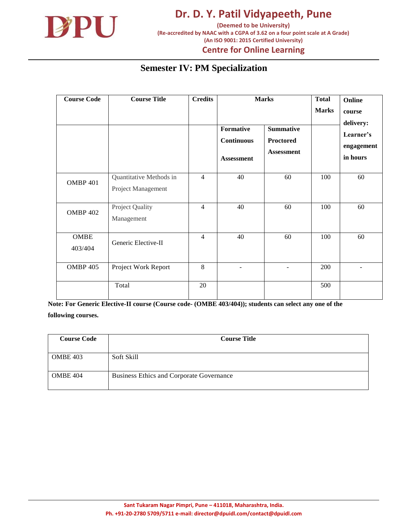

**(Re-accredited by NAAC with a CGPA of 3.62 on a four point scale at A Grade) (An ISO 9001: 2015 Certified University)**

#### **Centre for Online Learning**

## **Semester IV: PM Specialization**

| <b>Course Code</b>     | <b>Course Title</b>                           | <b>Credits</b> | <b>Marks</b>                                               |                                                    | <b>Total</b><br><b>Marks</b> | Online<br>course<br>delivery:       |
|------------------------|-----------------------------------------------|----------------|------------------------------------------------------------|----------------------------------------------------|------------------------------|-------------------------------------|
|                        |                                               |                | <b>Formative</b><br><b>Continuous</b><br><b>Assessment</b> | <b>Summative</b><br>Proctored<br><b>Assessment</b> |                              | Learner's<br>engagement<br>in hours |
| OMBP 401               | Quantitative Methods in<br>Project Management | $\overline{4}$ | 40                                                         | 60                                                 | 100                          | 60                                  |
| <b>OMBP 402</b>        | Project Quality<br>Management                 | $\overline{4}$ | 40                                                         | 60                                                 | 100                          | 60                                  |
| <b>OMBE</b><br>403/404 | Generic Elective-II                           | $\overline{4}$ | 40                                                         | 60                                                 | 100                          | 60                                  |
| <b>OMBP 405</b>        | Project Work Report                           | 8              | ۰                                                          | $\overline{\phantom{a}}$                           | 200                          |                                     |
|                        | Total                                         | 20             |                                                            |                                                    | 500                          |                                     |

| <b>Course Code</b> | <b>Course Title</b>                      |  |  |
|--------------------|------------------------------------------|--|--|
|                    |                                          |  |  |
| <b>OMBE 403</b>    | Soft Skill                               |  |  |
|                    |                                          |  |  |
| <b>OMBE 404</b>    | Business Ethics and Corporate Governance |  |  |
|                    |                                          |  |  |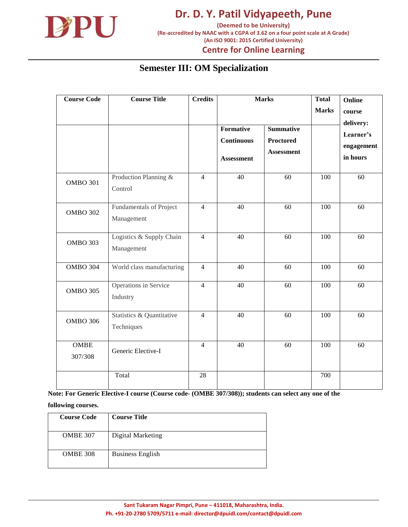

**(Re-accredited by NAAC with a CGPA of 3.62 on a four point scale at A Grade) (An ISO 9001: 2015 Certified University)**

**Centre for Online Learning**

## **Semester III: OM Specialization**

| <b>Course Code</b>     | <b>Course Title</b>                     | <b>Credits</b> | Formative<br><b>Continuous</b><br><b>Assessment</b> | <b>Marks</b><br><b>Summative</b><br><b>Proctored</b><br><b>Assessment</b> | <b>Total</b><br><b>Marks</b> | Online<br>course<br>delivery:<br>Learner's<br>engagement<br>in hours |  |
|------------------------|-----------------------------------------|----------------|-----------------------------------------------------|---------------------------------------------------------------------------|------------------------------|----------------------------------------------------------------------|--|
| <b>OMBO 301</b>        | Production Planning &<br>Control        | $\overline{4}$ | 40                                                  | 60                                                                        | 100                          | 60                                                                   |  |
| <b>OMBO 302</b>        | Fundamentals of Project<br>Management   | $\overline{4}$ | 40                                                  | 60                                                                        | 100                          | 60                                                                   |  |
| <b>OMBO 303</b>        | Logistics & Supply Chain<br>Management  | $\overline{4}$ | 40                                                  | 60                                                                        | 100                          | 60                                                                   |  |
| <b>OMBO 304</b>        | World class manufacturing               | $\overline{4}$ | 40                                                  | 60                                                                        | 100                          | 60                                                                   |  |
| <b>OMBO 305</b>        | Operations in Service<br>Industry       | $\overline{4}$ | 40                                                  | 60                                                                        | 100                          | 60                                                                   |  |
| <b>OMBO 306</b>        | Statistics & Quantitative<br>Techniques | $\overline{4}$ | 40                                                  | 60                                                                        | 100                          | 60                                                                   |  |
| <b>OMBE</b><br>307/308 | Generic Elective-I                      | $\overline{4}$ | 40                                                  | 60                                                                        | 100                          | 60                                                                   |  |
|                        | Total                                   | 28             |                                                     |                                                                           | 700                          |                                                                      |  |

**Note: For Generic Elective-I course (Course code- (OMBE 307/308)); students can select any one of the** 

| <b>Course Code</b> | <b>Course Title</b>     |
|--------------------|-------------------------|
| <b>OMBE 307</b>    | Digital Marketing       |
| <b>OMBE 308</b>    | <b>Business English</b> |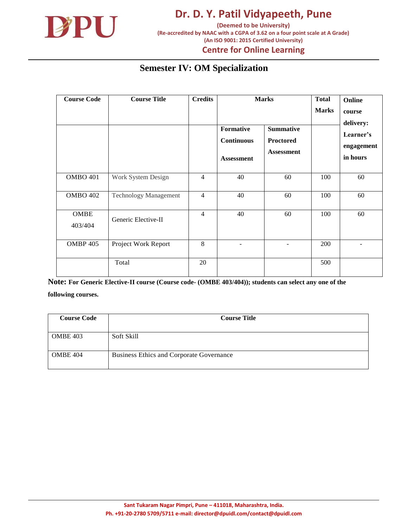

# **Centre for Online Learning**

## **Semester IV: OM Specialization**

| <b>Course Code</b>     | <b>Course Title</b>          | <b>Credits</b> | Formative<br><b>Continuous</b><br><b>Assessment</b> | <b>Marks</b><br><b>Summative</b><br><b>Proctored</b><br><b>Assessment</b> | <b>Total</b><br><b>Marks</b> | Online<br>course<br>delivery:<br>Learner's<br>engagement<br>in hours |
|------------------------|------------------------------|----------------|-----------------------------------------------------|---------------------------------------------------------------------------|------------------------------|----------------------------------------------------------------------|
| <b>OMBO 401</b>        | Work System Design           | $\overline{4}$ | 40                                                  | 60                                                                        | 100                          | 60                                                                   |
| <b>OMBO 402</b>        | <b>Technology Management</b> | $\overline{4}$ | 40                                                  | 60                                                                        | 100                          | 60                                                                   |
| <b>OMBE</b><br>403/404 | Generic Elective-II          | $\overline{4}$ | 40                                                  | 60                                                                        | 100                          | 60                                                                   |
| <b>OMBP 405</b>        | Project Work Report          | 8              |                                                     |                                                                           | 200                          |                                                                      |
|                        | Total                        | 20             |                                                     |                                                                           | 500                          |                                                                      |

| <b>Course Code</b> | <b>Course Title</b>                      |  |  |
|--------------------|------------------------------------------|--|--|
|                    |                                          |  |  |
| <b>OMBE 403</b>    | Soft Skill                               |  |  |
|                    |                                          |  |  |
| OMBE 404           | Business Ethics and Corporate Governance |  |  |
|                    |                                          |  |  |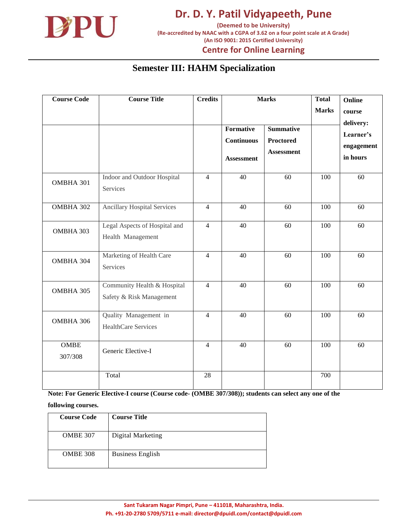

**(Deemed to be University) (Re-accredited by NAAC with a CGPA of 3.62 on a four point scale at A Grade) (An ISO 9001: 2015 Certified University)**

#### **Centre for Online Learning**

#### **Semester III: HAHM Specialization**

| <b>Course Code</b>     | <b>Course Title</b>                                     | <b>Credits</b> | Formative<br><b>Continuous</b><br><b>Assessment</b> | <b>Marks</b><br><b>Summative</b><br>Proctored<br><b>Assessment</b> | <b>Total</b><br><b>Marks</b> | Online<br>course<br>delivery:<br>Learner's<br>engagement<br>in hours |
|------------------------|---------------------------------------------------------|----------------|-----------------------------------------------------|--------------------------------------------------------------------|------------------------------|----------------------------------------------------------------------|
| OMBHA 301              | Indoor and Outdoor Hospital<br>Services                 | $\overline{4}$ | 40                                                  | 60                                                                 | 100                          | 60                                                                   |
| OMBHA 302              | <b>Ancillary Hospital Services</b>                      | $\overline{4}$ | 40                                                  | 60                                                                 | 100                          | 60                                                                   |
| OMBHA 303              | Legal Aspects of Hospital and<br>Health Management      | $\overline{4}$ | 40                                                  | 60                                                                 | 100                          | 60                                                                   |
| OMBHA 304              | Marketing of Health Care<br>Services                    | $\overline{4}$ | 40                                                  | 60                                                                 | 100                          | 60                                                                   |
| OMBHA 305              | Community Health & Hospital<br>Safety & Risk Management | $\overline{4}$ | 40                                                  | 60                                                                 | 100                          | 60                                                                   |
| OMBHA 306              | Quality Management in<br>HealthCare Services            | $\overline{4}$ | 40                                                  | 60                                                                 | 100                          | 60                                                                   |
| <b>OMBE</b><br>307/308 | Generic Elective-I                                      | $\overline{4}$ | 40                                                  | 60                                                                 | 100                          | 60                                                                   |
|                        | Total                                                   | 28             |                                                     |                                                                    | 700                          |                                                                      |

**Note: For Generic Elective-I course (Course code- (OMBE 307/308)); students can select any one of the** 

| <b>Course Code</b> | <b>Course Title</b>     |
|--------------------|-------------------------|
| <b>OMBE 307</b>    | Digital Marketing       |
| <b>OMBE 308</b>    | <b>Business English</b> |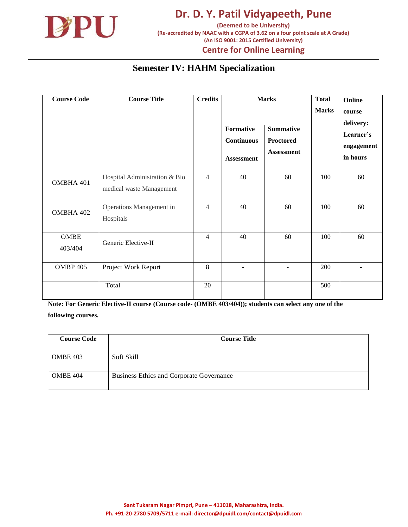

**(Re-accredited by NAAC with a CGPA of 3.62 on a four point scale at A Grade) (An ISO 9001: 2015 Certified University)**

## **Centre for Online Learning**

#### **Semester IV: HAHM Specialization**

| <b>Course Code</b>     | <b>Course Title</b>                                       | <b>Credits</b> |                                                     | <b>Marks</b>                                       | <b>Total</b> | Online                                           |
|------------------------|-----------------------------------------------------------|----------------|-----------------------------------------------------|----------------------------------------------------|--------------|--------------------------------------------------|
|                        |                                                           |                |                                                     |                                                    | <b>Marks</b> | course                                           |
|                        |                                                           |                | Formative<br><b>Continuous</b><br><b>Assessment</b> | <b>Summative</b><br>Proctored<br><b>Assessment</b> |              | delivery:<br>Learner's<br>engagement<br>in hours |
| OMBHA 401              | Hospital Administration & Bio<br>medical waste Management | $\overline{4}$ | 40                                                  | 60                                                 | 100          | 60                                               |
| OMBHA 402              | Operations Management in<br>Hospitals                     | $\overline{4}$ | 40                                                  | 60                                                 | 100          | 60                                               |
| <b>OMBE</b><br>403/404 | Generic Elective-II                                       | 4              | 40                                                  | 60                                                 | 100          | 60                                               |
| OMBP 405               | Project Work Report                                       | 8              | $\overline{a}$                                      | ۰                                                  | 200          |                                                  |
|                        | Total                                                     | 20             |                                                     |                                                    | 500          |                                                  |

| <b>Course Code</b> | <b>Course Title</b>                             |  |  |
|--------------------|-------------------------------------------------|--|--|
|                    |                                                 |  |  |
| <b>OMBE 403</b>    | Soft Skill                                      |  |  |
|                    |                                                 |  |  |
| <b>OMBE 404</b>    | <b>Business Ethics and Corporate Governance</b> |  |  |
|                    |                                                 |  |  |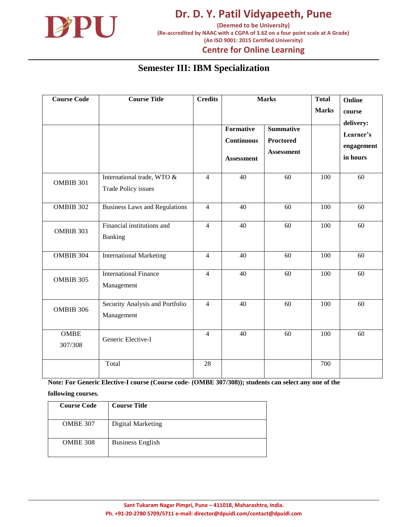

**Dr. D. Y. Patil Vidyapeeth, Pune (Deemed to be University) (Re-accredited by NAAC with a CGPA of 3.62 on a four point scale at A Grade)**

**(An ISO 9001: 2015 Certified University)**

#### **Centre for Online Learning**

#### **Semester III: IBM Specialization**

| <b>Course Code</b>     | <b>Course Title</b>                               | <b>Credits</b> | <b>Formative</b>                       | <b>Marks</b><br><b>Summative</b>      | <b>Total</b><br><b>Marks</b> | Online<br>course<br>delivery:       |  |
|------------------------|---------------------------------------------------|----------------|----------------------------------------|---------------------------------------|------------------------------|-------------------------------------|--|
|                        |                                                   |                | <b>Continuous</b><br><b>Assessment</b> | <b>Proctored</b><br><b>Assessment</b> |                              | Learner's<br>engagement<br>in hours |  |
| OMBIB 301              | International trade, WTO &<br>Trade Policy issues | $\overline{4}$ | 40                                     | 60                                    | 100                          | 60                                  |  |
| OMBIB 302              | <b>Business Laws and Regulations</b>              | $\overline{4}$ | 40                                     | 60                                    | 100                          | 60                                  |  |
| OMBIB 303              | Financial institutions and<br>Banking             | $\overline{4}$ | 40                                     | 60                                    | 100                          | 60                                  |  |
| OMBIB 304              | <b>International Marketing</b>                    | $\overline{4}$ | 40                                     | 60                                    | 100                          | 60                                  |  |
| OMBIB 305              | <b>International Finance</b><br>Management        | $\overline{4}$ | 40                                     | 60                                    | 100                          | 60                                  |  |
| OMBIB 306              | Security Analysis and Portfolio<br>Management     | $\overline{4}$ | 40                                     | 60                                    | 100                          | 60                                  |  |
| <b>OMBE</b><br>307/308 | Generic Elective-I                                | $\overline{4}$ | 40                                     | 60                                    | 100                          | 60                                  |  |
|                        | Total                                             | 28             |                                        |                                       | 700                          |                                     |  |

**Note: For Generic Elective-I course (Course code- (OMBE 307/308)); students can select any one of the** 

| <b>Course Code</b> | <b>Course Title</b>     |
|--------------------|-------------------------|
| <b>OMBE 307</b>    | Digital Marketing       |
| <b>OMBE 308</b>    | <b>Business English</b> |